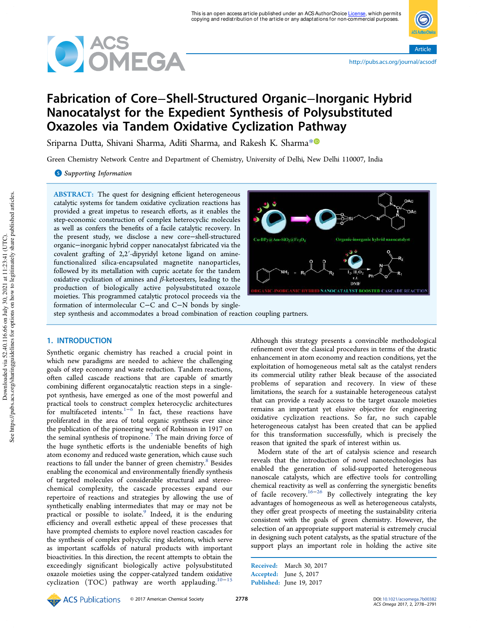# O ACS<br>O OMEGA



http://pubs.acs.org/journal/acsodf

### Fabrication of Core−Shell-Structured Organic−Inorganic Hybrid Nanocatalyst for the Expedient Synthesis of Polysubstituted Oxazoles via Tandem Oxidative Cyclization Pathway

Sriparna Dutta, Shivani Sharma, Aditi Sharma, and Rakesh K. Sharma\*

Green Chemistry Network Centre and Department of Chemistry, University of Delhi, New Delhi 110007, India

**S** Supporting Information

ABSTRACT: The quest for designing efficient heterogeneous catalytic systems for tandem oxidative cyclization reactions has provided a great impetus to research efforts, as it enables the step-economic construction of complex heterocyclic molecules as well as confers the benefits of a facile catalytic recovery. In the present study, we disclose a new core−shell-structured organic−inorganic hybrid copper nanocatalyst fabricated via the covalent grafting of 2,2′-dipyridyl ketone ligand on aminefunctionalized silica-encapsulated magnetite nanoparticles, followed by its metallation with cupric acetate for the tandem oxidative cyclization of amines and  $\beta$ -ketoesters, leading to the production of biologically active polysubstituted oxazole moieties. This programmed catalytic protocol proceeds via the formation of intermolecular C−C and C−N bonds by single-



step synthesis and accommodates a broad combination of reaction coupling partners.

#### 1. INTRODUCTION

Synthetic organic chemistry has reached a crucial point in which new paradigms are needed to achieve the challenging goals of step economy and waste reduction. Tandem reactions, often called cascade reactions that are capable of smartly combining different organocatalytic reaction steps in a singlepot synthesis, have emerged as one of the most powerful and practical tools to construct complex heterocyclic architectures for multifaceted intents.<sup>1−6</sup> In fact, these reactions have proliferated in the area of total organic synthesis ever since the publication of the pioneering work of Robinson in 1917 on the seminal synthesis of tropinone.<sup>7</sup> The main driving force of the huge synthetic efforts is the undeniable benefits of high atom economy and reduced waste generation, which cause such reactions to fall under the banner of green chemistry.<sup>8</sup> Besides enabling the economical and environmentally friendly synthesis of targeted molecules of considerable structural and stereochemical complexity, the cascade processes expand our repertoire of reactions and strategies by allowing the use of synthetically enabling intermediates that may or may not be practical or possible to isolate. Indeed, it is the enduring efficiency and overall esthetic appeal of these processes that have prompted chemists to explore novel reaction cascades for the synthesis of complex polycyclic ring skeletons, which serve as important scaffolds of natural products with important bioactivities. In this direction, the recent attempts to obtain the exceedingly significant biologically active polysubstituted oxazole moieties using the copper-catalyzed tandem oxidative cyclization (TOC) pathway are worth applauding.<sup>10</sup>

Although this strategy presents a convincible methodological refinement over the classical procedures in terms of the drastic enhancement in atom economy and reaction conditions, yet the exploitation of homogeneous metal salt as the catalyst renders its commercial utility rather bleak because of the associated problems of separation and recovery. In view of these limitations, the search for a sustainable heterogeneous catalyst that can provide a ready access to the target oxazole moieties remains an important yet elusive objective for engineering oxidative cyclization reactions. So far, no such capable heterogeneous catalyst has been created that can be applied for this transformation successfully, which is precisely the reason that ignited the spark of interest within us.

Modern state of the art of catalysis science and research reveals that the introduction of novel nanotechnologies has enabled the generation of solid-supported heterogeneous nanoscale catalysts, which are effective tools for controlling chemical reactivity as well as conferring the synergistic benefits of facile recovery.<sup>16−26</sup> By collectively integrating the key advantages of homogeneous as well as heterogeneous catalysts, they offer great prospects of meeting the sustainability criteria consistent with the goals of green chemistry. However, the selection of an appropriate support material is extremely crucial in designing such potent catalysts, as the spatial structure of the support plays an important role in holding the active site

Received: March 30, 2017 Accepted: June 5, 2017 Published: June 19, 2017

See https://pubs.acs.org/sharingguidelines for options on how to legitimately share published articles.Downloaded via 52.40.116.66 on July 30, 2021 at 11:23:41 (UTC).<br>See https://pubs.acs.org/sharingguidelines for options on how to legitimately share published articles. Downloaded via 52.40.116.66 on July 30, 2021 at 11:23:41 (UTC).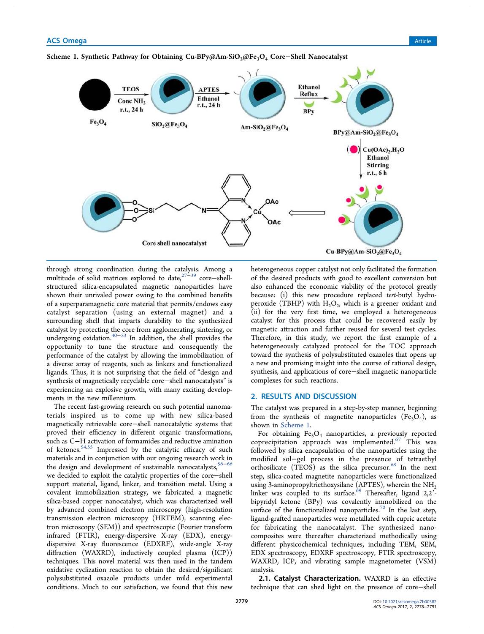

Scheme 1. Synthetic Pathway for Obtaining Cu-BPy@Am-SiO<sub>2</sub>@Fe<sub>3</sub>O<sub>4</sub> Core–Shell Nanocatalyst

through strong coordination during the catalysis. Among a multitude of solid matrices explored to date,<sup>27–39</sup> core–shellstructured silica-encapsulated magnetic nanoparticles have shown their unrivaled power owing to the combined benefits of a superparamagnetic core material that permits/endows easy catalyst separation (using an external magnet) and a surrounding shell that imparts durability to the synthesized catalyst by protecting the core from agglomerating, sintering, or undergoing oxidation.<sup>40−53</sup> In addition, the shell provides the opportunity to tune the structure and consequently the performance of the catalyst by allowing the immobilization of a diverse array of reagents, such as linkers and functionalized ligands. Thus, it is not surprising that the field of "design and synthesis of magnetically recyclable core−shell nanocatalysts" is experiencing an explosive growth, with many exciting developments in the new millennium.

The recent fast-growing research on such potential nanomaterials inspired us to come up with new silica-based magnetically retrievable core−shell nanocatalytic systems that proved their efficiency in different organic transformations, such as C−H activation of formamides and reductive amination of ketones.<sup>54,55</sup> Impressed by the catalytic efficacy of such materials and in conjunction with our ongoing research work in the design and development of sustainable nanocatalysts,<sup>56–66</sup> we decided to exploit the catalytic properties of the core−shell support material, ligand, linker, and transition metal. Using a covalent immobilization strategy, we fabricated a magnetic silica-based copper nanocatalyst, which was characterized well by advanced combined electron microscopy (high-resolution transmission electron microscopy (HRTEM), scanning electron microscopy (SEM)) and spectroscopic (Fourier transform infrared (FTIR), energy-dispersive X-ray (EDX), energydispersive X-ray fluorescence (EDXRF), wide-angle X-ray diffraction (WAXRD), inductively coupled plasma (ICP)) techniques. This novel material was then used in the tandem oxidative cyclization reaction to obtain the desired/significant polysubstituted oxazole products under mild experimental conditions. Much to our satisfaction, we found that this new

heterogeneous copper catalyst not only facilitated the formation of the desired products with good to excellent conversion but also enhanced the economic viability of the protocol greatly because: (i) this new procedure replaced *tert*-butyl hydroperoxide (TBHP) with  $H_2O_2$ , which is a greener oxidant and (ii) for the very first time, we employed a heterogeneous catalyst for this process that could be recovered easily by magnetic attraction and further reused for several test cycles. Therefore, in this study, we report the first example of a heterogeneously catalyzed protocol for the TOC approach toward the synthesis of polysubstituted oxazoles that opens up a new and promising insight into the course of rational design, synthesis, and applications of core−shell magnetic nanoparticle complexes for such reactions.

#### 2. RESULTS AND DISCUSSION

The catalyst was prepared in a step-by-step manner, beginning from the synthesis of magnetite nanoparticles  $(Fe<sub>3</sub>O<sub>4</sub>)$ , as shown in Scheme 1.

For obtaining  $Fe<sub>3</sub>O<sub>4</sub>$  nanoparticles, a previously reported coprecipitation approach was implemented.<sup>67</sup> This was followed by silica encapsulation of the nanoparticles using the modified sol−gel process in the presence of tetraethyl orthosilicate (TEOS) as the silica precursor.<sup>68</sup> In the next step, silica-coated magnetite nanoparticles were functionalized using 3-aminopropyltriethoxysilane (APTES), wherein the  $NH<sub>2</sub>$ linker was coupled to its surface.<sup>69</sup> Thereafter, ligand 2,2<sup>'</sup>bipyridyl ketone (BPy) was covalently immobilized on the surface of the functionalized nanoparticles.<sup>70</sup> In the last step, ligand-grafted nanoparticles were metallated with cupric acetate for fabricating the nanocatalyst. The synthesized nanocomposites were thereafter characterized methodically using different physicochemical techniques, including TEM, SEM, EDX spectroscopy, EDXRF spectroscopy, FTIR spectroscopy, WAXRD, ICP, and vibrating sample magnetometer (VSM) analysis.

2.1. Catalyst Characterization. WAXRD is an effective technique that can shed light on the presence of core−shell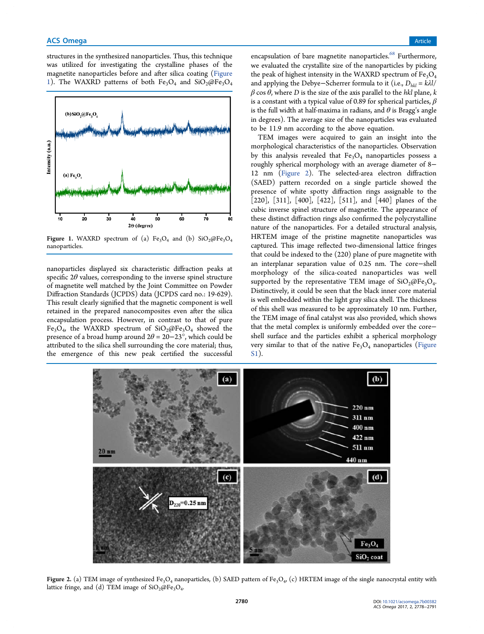structures in the synthesized nanoparticles. Thus, this technique was utilized for investigating the crystalline phases of the magnetite nanoparticles before and after silica coating (Figure 1). The WAXRD patterns of both  $Fe<sub>3</sub>O<sub>4</sub>$  and  $SiO<sub>2</sub>(\mathcal{Q}Fe<sub>3</sub>O<sub>4</sub>)$ 



**Figure 1.** WAXRD spectrum of (a)  $Fe<sub>3</sub>O<sub>4</sub>$  and (b)  $SiO<sub>2</sub>(\mathcal{Q}Fe<sub>3</sub>O<sub>4</sub>)$ nanoparticles.

nanoparticles displayed six characteristic diffraction peaks at specific  $2\theta$  values, corresponding to the inverse spinel structure of magnetite well matched by the Joint Committee on Powder Diffraction Standards (JCPDS) data (JCPDS card no.: 19-629). This result clearly signified that the magnetic component is well retained in the prepared nanocomposites even after the silica encapsulation process. However, in contrast to that of pure Fe<sub>3</sub>O<sub>4</sub>, the WAXRD spectrum of  $SiO_2@Fe_3O_4$  showed the presence of a broad hump around  $2\theta = 20-23^{\circ}$ , which could be attributed to the silica shell surrounding the core material; thus, the emergence of this new peak certified the successful

encapsulation of bare magnetite nanoparticles.<sup>68</sup> Furthermore, we evaluated the crystallite size of the nanoparticles by picking the peak of highest intensity in the WAXRD spectrum of  $Fe<sub>3</sub>O<sub>4</sub>$ and applying the Debye−Scherrer formula to it (i.e., *Dhkl* = *k*λ*l*/  $β \cos θ$ , where *D* is the size of the axis parallel to the *hkl* plane, *k* is a constant with a typical value of 0.89 for spherical particles,  $\beta$ is the full width at half-maxima in radians, and  $\theta$  is Bragg's angle in degrees). The average size of the nanoparticles was evaluated to be 11.9 nm according to the above equation.

TEM images were acquired to gain an insight into the morphological characteristics of the nanoparticles. Observation by this analysis revealed that  $Fe<sub>3</sub>O<sub>4</sub>$  nanoparticles possess a roughly spherical morphology with an average diameter of 8− 12 nm (Figure 2). The selected-area electron diffraction (SAED) pattern recorded on a single particle showed the presence of white spotty diffraction rings assignable to the [220], [311], [400], [422], [511], and [440] planes of the cubic inverse spinel structure of magnetite. The appearance of these distinct diffraction rings also confirmed the polycrystalline nature of the nanoparticles. For a detailed structural analysis, HRTEM image of the pristine magnetite nanoparticles was captured. This image reflected two-dimensional lattice fringes that could be indexed to the (220) plane of pure magnetite with an interplanar separation value of 0.25 nm. The core−shell morphology of the silica-coated nanoparticles was well supported by the representative TEM image of  $SiO_2@Fe_3O_4$ . . Distinctively, it could be seen that the black inner core material is well embedded within the light gray silica shell. The thickness of this shell was measured to be approximately 10 nm. Further, the TEM image of final catalyst was also provided, which shows that the metal complex is uniformly embedded over the core− shell surface and the particles exhibit a spherical morphology very similar to that of the native  $Fe<sub>3</sub>O<sub>4</sub>$  nanoparticles (Figure S1).



Figure 2. (a) TEM image of synthesized Fe<sub>3</sub>O<sub>4</sub> nanoparticles, (b) SAED pattern of Fe<sub>3</sub>O<sub>4</sub>, (c) HRTEM image of the single nanocrystal entity with lattice fringe, and (d) TEM image of  $SiO_2$ @Fe<sub>3</sub>O<sub>4</sub>. .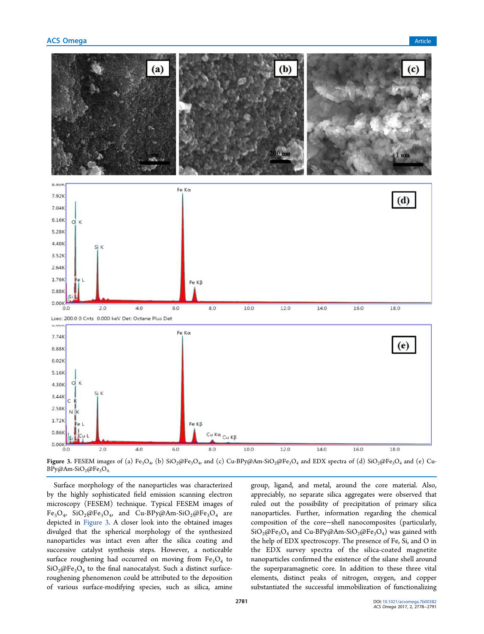

 ${\rm Figure~3.~FESEM}$  images of (a)  ${\rm Fe_3O_4}$  (b)  ${\rm SiO_2@Fe_3O_4}$  and (c)  ${\rm Cu\text{-}BPy@Am\text{-}SiO_2@Fe_3O_4}$  and  ${\rm EDX}$  spectra of (d)  ${\rm SiO_2@Fe_3O_4}$  and (e)  ${\rm Cu\text{-}BPS@Ar}$  $BPy@Am-SiO<sub>2</sub>@Fe<sub>3</sub>O<sub>4</sub>$ 

Surface morphology of the nanoparticles was characterized by the highly sophisticated field emission scanning electron microscopy (FESEM) technique. Typical FESEM images of  $Fe<sub>3</sub>O<sub>4</sub>$ ,  $SiO<sub>2</sub>(\mathcal{Q}Fe<sub>3</sub>O<sub>4</sub>)$ , and  $Cu-BPy(\mathcal{Q}Am-SiO<sub>2</sub>(\mathcal{Q}Fe<sub>3</sub>O<sub>4</sub>)$  are depicted in Figure 3. A closer look into the obtained images divulged that the spherical morphology of the synthesized nanoparticles was intact even after the silica coating and successive catalyst synthesis steps. However, a noticeable surface roughening had occurred on moving from  $Fe<sub>3</sub>O<sub>4</sub>$  to  $SiO_2@Fe_3O_4$  to the final nanocatalyst. Such a distinct surfaceroughening phenomenon could be attributed to the deposition of various surface-modifying species, such as silica, amine

group, ligand, and metal, around the core material. Also, appreciably, no separate silica aggregates were observed that ruled out the possibility of precipitation of primary silica nanoparticles. Further, information regarding the chemical composition of the core−shell nanocomposites (particularly,  $SiO_2@Fe_3O_4$  and Cu-BPy@Am-SiO<sub>2</sub>@Fe<sub>3</sub>O<sub>4</sub>) was gained with the help of EDX spectroscopy. The presence of Fe, Si, and O in the EDX survey spectra of the silica-coated magnetite nanoparticles confirmed the existence of the silane shell around the superparamagnetic core. In addition to these three vital elements, distinct peaks of nitrogen, oxygen, and copper substantiated the successful immobilization of functionalizing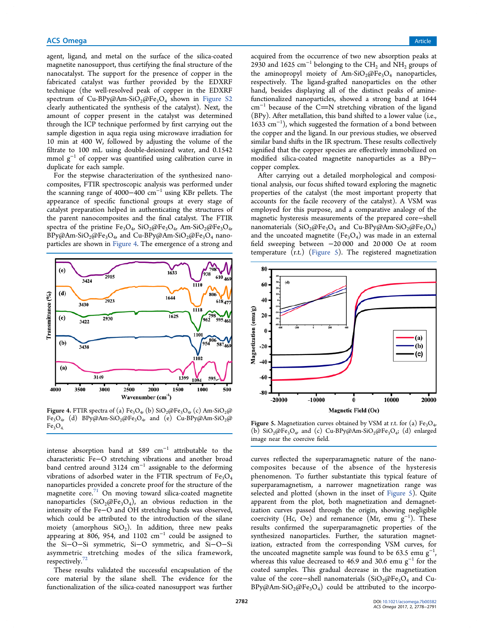agent, ligand, and metal on the surface of the silica-coated magnetite nanosupport, thus certifying the final structure of the nanocatalyst. The support for the presence of copper in the fabricated catalyst was further provided by the EDXRF technique (the well-resolved peak of copper in the EDXRF spectrum of Cu-BPy@Am-SiO<sub>2</sub>@Fe<sub>3</sub>O<sub>4</sub> shown in Figure S2 clearly authenticated the synthesis of the catalyst). Next, the amount of copper present in the catalyst was determined through the ICP technique performed by first carrying out the sample digestion in aqua regia using microwave irradiation for 10 min at 400 W, followed by adjusting the volume of the filtrate to 100 mL using double-deionized water, and 0.1542 mmol g<sup>-1</sup> of copper was quantified using calibration curve in duplicate for each sample.

For the stepwise characterization of the synthesized nanocomposites, FTIR spectroscopic analysis was performed under the scanning range of 4000−400 cm<sup>−</sup><sup>1</sup> using KBr pellets. The appearance of specific functional groups at every stage of catalyst preparation helped in authenticating the structures of the parent nanocomposites and the final catalyst. The FTIR spectra of the pristine  $Fe_{3}O_{4}$ ,  $SiO_{2}$ @Fe<sub>3</sub>O<sub>4</sub>, Am-SiO<sub>2</sub>@Fe<sub>3</sub>O<sub>4</sub> ,  $\mathrm{BPy}$ @Am-SiO $_2$ @Fe $_3$ O $_4$ , and Cu-BPy@Am-SiO $_2$ @Fe $_3$ O $_4$  nanoparticles are shown in Figure 4. The emergence of a strong and



**Figure 4.** FTIR spectra of (a)  $Fe_3O_4$ , (b)  $SiO_2@Fe_3O_4$ , (c) Am-SiO<sub>2</sub>@ Fe<sub>3</sub>O<sub>4</sub>, (d) BPy@Am-SiO<sub>2</sub>@Fe<sub>3</sub>O<sub>4</sub>, and (e) Cu-BPy@Am-SiO<sub>2</sub>@  $Fe<sub>3</sub>O<sub>4</sub>$ 

intense absorption band at 589  $\text{cm}^{-1}$  attributable to the characteristic Fe−O stretching vibrations and another broad band centred around 3124 cm<sup>−</sup><sup>1</sup> assignable to the deforming vibrations of adsorbed water in the FTIR spectrum of  $Fe<sub>3</sub>O<sub>4</sub>$ nanoparticles provided a concrete proof for the structure of the magnetite core.<sup>71</sup> On moving toward silica-coated magnetite nanoparticles  $(SiO_2@Fe_3O_4)$ , an obvious reduction in the intensity of the Fe−O and OH stretching bands was observed, which could be attributed to the introduction of the silane moiety (amorphous  $SiO_2$ ). In addition, three new peaks appearing at 806, 954, and 1102 cm<sup>−</sup><sup>1</sup> could be assigned to the Si−O−Si symmetric, Si−O symmetric, and Si−O−Si asymmetric stretching modes of the silica framework, respectively.  $\!\!^{72}$ 

These results validated the successful encapsulation of the core material by the silane shell. The evidence for the functionalization of the silica-coated nanosupport was further

acquired from the occurrence of two new absorption peaks at 2930 and 1625 cm<sup>-1</sup> belonging to the CH<sub>2</sub> and  $\text{NH}_2$  groups of the aminopropyl moiety of Am-SiO<sub>2</sub>@Fe<sub>3</sub>O<sub>4</sub> nanoparticles, respectively. The ligand-grafted nanoparticles on the other hand, besides displaying all of the distinct peaks of aminefunctionalized nanoparticles, showed a strong band at 1644 cm<sup>-1</sup> because of the C=N stretching vibration of the ligand (BPy). After metallation, this band shifted to a lower value (i.e., 1633 cm<sup>−</sup><sup>1</sup> ), which suggested the formation of a bond between the copper and the ligand. In our previous studies, we observed similar band shifts in the IR spectrum. These results collectively signified that the copper species are effectively immobilized on modified silica-coated magnetite nanoparticles as a BPy− copper complex.

After carrying out a detailed morphological and compositional analysis, our focus shifted toward exploring the magnetic properties of the catalyst (the most important property that accounts for the facile recovery of the catalyst). A VSM was employed for this purpose, and a comparative analogy of the magnetic hysteresis measurements of the prepared core−shell nanomaterials  $(SiO_2@Fe_3O_4$  and  $Cu-BPy@Am-SiO_2@Fe_3O_4)$ and the uncoated magnetite  $(Fe<sub>3</sub>O<sub>4</sub>)$  was made in an external field sweeping between −20 000 and 20 000 Oe at room temperature (r.t.) (Figure 5). The registered magnetization



Figure 5. Magnetization curves obtained by VSM at r.t. for (a)  $Fe<sub>3</sub>O<sub>4</sub>$ , , (b)  $\text{SiO}_2$  ( $\text{Fe}_3\text{O}_4$ , and (c) Cu-BPy ( $\partial$ Am-Si $\text{O}_2$  ( $\partial$ Fe<sub>3</sub> $\text{O}_4$ ; (d) enlarged image near the coercive field.

curves reflected the superparamagnetic nature of the nanocomposites because of the absence of the hysteresis phenomenon. To further substantiate this typical feature of superparamagnetism, a narrower magnetization range was selected and plotted (shown in the inset of Figure 5). Quite apparent from the plot, both magnetization and demagnetization curves passed through the origin, showing negligible coercivity (Hc, Oe) and remanence  $(Mr, \text{emu } g^{-1})$ . These results confirmed the superparamagnetic properties of the synthesized nanoparticles. Further, the saturation magnetization, extracted from the corresponding VSM curves, for the uncoated magnetite sample was found to be 63.5 emu  $g^{-1}$ , , whereas this value decreased to 46.9 and 30.6 emu  $g^{-1}$  for the coated samples. This gradual decrease in the magnetization value of the core−shell nanomaterials (SiO<sub>2</sub>@Fe<sub>3</sub>O<sub>4</sub> and Cu- $BPy@Am-SiO_2@Fe_3O_4)$  could be attributed to the incorpo-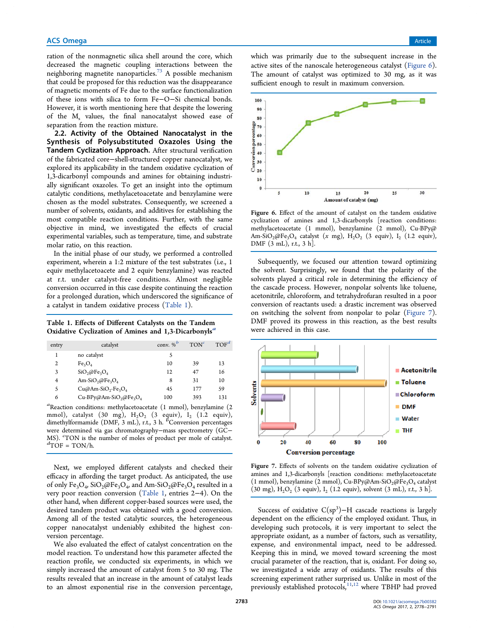#### **ACS Omega** Article **Article** Article **Article Article Article Article Article** Article **Article** Article **Article**

ration of the nonmagnetic silica shell around the core, which decreased the magnetic coupling interactions between the neighboring magnetite nanoparticles.<sup>73</sup> A possible mechanism that could be proposed for this reduction was the disappearance of magnetic moments of Fe due to the surface functionalization of these ions with silica to form Fe−O−Si chemical bonds. However, it is worth mentioning here that despite the lowering of the M<sub>s</sub> values, the final nanocatalyst showed ease of separation from the reaction mixture.

2.2. Activity of the Obtained Nanocatalyst in the Synthesis of Polysubstituted Oxazoles Using the Tandem Cyclization Approach. After structural verification of the fabricated core−shell-structured copper nanocatalyst, we explored its applicability in the tandem oxidative cyclization of 1,3-dicarbonyl compounds and amines for obtaining industrially significant oxazoles. To get an insight into the optimum catalytic conditions, methylacetoacetate and benzylamine were chosen as the model substrates. Consequently, we screened a number of solvents, oxidants, and additives for establishing the most compatible reaction conditions. Further, with the same objective in mind, we investigated the effects of crucial experimental variables, such as temperature, time, and substrate molar ratio, on this reaction.

In the initial phase of our study, we performed a controlled experiment, wherein a 1:2 mixture of the test substrates (i.e., 1 equiv methylacetoacete and 2 equiv benzylamine) was reacted at r.t. under catalyst-free conditions. Almost negligible conversion occurred in this case despite continuing the reaction for a prolonged duration, which underscored the significance of a catalyst in tandem oxidative process (Table 1).

Table 1. Effects of Different Catalysts on the Tandem Oxidative Cyclization of Amines and  $1,3$ -Dicarbonyls<sup>a</sup>

| entry | catalyst                                                   | conv. $\%$ <sup>b</sup> | TON <sup>c</sup> | TOF <sup>d</sup> |
|-------|------------------------------------------------------------|-------------------------|------------------|------------------|
|       | no catalyst                                                | 5                       |                  |                  |
| 2     | Fe <sub>3</sub> O <sub>4</sub>                             | 10                      | 39               | 13               |
| 3     | $SiO2/@Fe3O4$                                              | 12                      | 47               | 16               |
| 4     | Am-SiO <sub>2</sub> @Fe <sub>3</sub> O <sub>4</sub>        | 8                       | 31               | 10               |
| 5     | $Cu@Am-SiO2-Fe3O4$                                         | 45                      | 177              | 59               |
| 6     | Cu-BPy@Am-SiO <sub>2</sub> @Fe <sub>3</sub> O <sub>4</sub> | 100                     | 393              | 131              |

*a* Reaction conditions: methylacetoacetate (1 mmol), benzylamine (2 mmol), catalyst (30 mg),  $\rm H_2O_2$  (3 equiv),  $\rm I_2$  (1.2 equiv), dimethylformamide (DMF, 3 mL), r.t., 3 h.  $<sup>b</sup>$  Conversion percentages</sup> were determined via gas chromatography–mass spectrometry (GC− MS). <sup>c</sup>TON is the number of moles of product per mole of catalyst.  $\sigma^d$ TOF = TON/h.

Next, we employed different catalysts and checked their efficacy in affording the target product. As anticipated, the use of only  $Fe_3O_4$ ,  $SiO_2@Fe_3O_4$ , and Am-Si $O_2@Fe_3O_4$  resulted in a very poor reaction conversion (Table 1, entries 2−4). On the other hand, when different copper-based sources were used, the desired tandem product was obtained with a good conversion. Among all of the tested catalytic sources, the heterogeneous copper nanocatalyst undeniably exhibited the highest conversion percentage.

We also evaluated the effect of catalyst concentration on the model reaction. To understand how this parameter affected the reaction profile, we conducted six experiments, in which we simply increased the amount of catalyst from 5 to 30 mg. The results revealed that an increase in the amount of catalyst leads to an almost exponential rise in the conversion percentage, which was primarily due to the subsequent increase in the active sites of the nanoscale heterogeneous catalyst (Figure 6). The amount of catalyst was optimized to 30 mg, as it was sufficient enough to result in maximum conversion.



Figure 6. Effect of the amount of catalyst on the tandem oxidative cyclization of amines and 1,3-dicarbonyls [reaction conditions: methylacetoacetate (1 mmol), benzylamine (2 mmol), Cu-BPy@ Am-SiO<sub>2</sub>@Fe<sub>3</sub>O<sub>4</sub> catalyst (*x* mg),  $H_2O_2$  (3 equiv), I<sub>2</sub> (1.2 equiv), DMF (3 mL), r.t., 3 h].

Subsequently, we focused our attention toward optimizing the solvent. Surprisingly, we found that the polarity of the solvents played a critical role in determining the efficiency of the cascade process. However, nonpolar solvents like toluene, acetonitrile, chloroform, and tetrahydrofuran resulted in a poor conversion of reactants used: a drastic increment was observed on switching the solvent from nonpolar to polar (Figure 7). DMF proved its prowess in this reaction, as the best results were achieved in this case.



Figure 7. Effects of solvents on the tandem oxidative cyclization of amines and 1,3-dicarbonyls [reaction conditions: methylacetoacetate (1 mmol), benzylamine (2 mmol), Cu-BPy@Am-SiO<sub>2</sub>@Fe<sub>3</sub>O<sub>4</sub> catalyst  $(30 \text{ mg})$ , H<sub>2</sub>O<sub>2</sub> (3 equiv), I<sub>2</sub> (1.2 equiv), solvent (3 mL), r.t., 3 h].

Success of oxidative  $C(sp^3)$ -H cascade reactions is largely dependent on the efficiency of the employed oxidant. Thus, in developing such protocols, it is very important to select the appropriate oxidant, as a number of factors, such as versatility, expense, and environmental impact, need to be addressed. Keeping this in mind, we moved toward screening the most crucial parameter of the reaction, that is, oxidant. For doing so, we investigated a wide array of oxidants. The results of this screening experiment rather surprised us. Unlike in most of the previously established protocols,<sup>11,12</sup> where TBHP had proved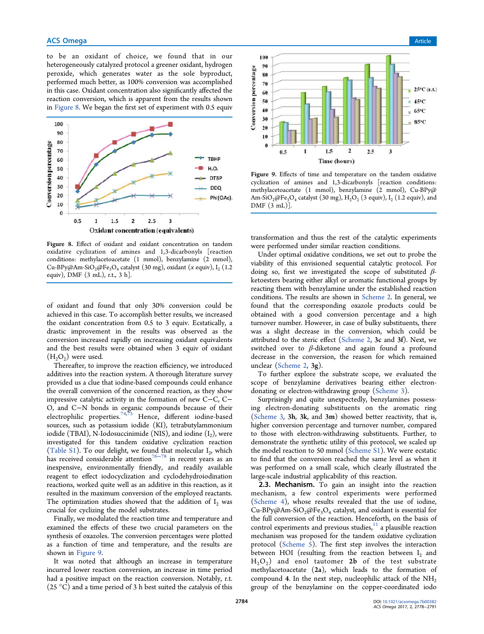to be an oxidant of choice, we found that in our heterogeneously catalyzed protocol a greener oxidant, hydrogen peroxide, which generates water as the sole byproduct, performed much better, as 100% conversion was accomplished in this case. Oxidant concentration also significantly affected the reaction conversion, which is apparent from the results shown in Figure 8. We began the first set of experiment with 0.5 equiv



Figure 8. Effect of oxidant and oxidant concentration on tandem oxidative cyclization of amines and 1,3-dicarbonyls [reaction conditions: methylacetoacetate (1 mmol), benzylamine (2 mmol), Cu-BPy@Am-SiO<sub>2</sub>@Fe<sub>3</sub>O<sub>4</sub> catalyst (30 mg), oxidant (*x* equiv), I<sub>2</sub> (1.2) equiv), DMF (3 mL), r.t., 3 h].

of oxidant and found that only 30% conversion could be achieved in this case. To accomplish better results, we increased the oxidant concentration from 0.5 to 3 equiv. Ecstatically, a drastic improvement in the results was observed as the conversion increased rapidly on increasing oxidant equivalents and the best results were obtained when 3 equiv of oxidant  $(H_2O_2)$  were used.

Thereafter, to improve the reaction efficiency, we introduced additives into the reaction system. A thorough literature survey provided us a clue that iodine-based compounds could enhance the overall conversion of the concerned reaction, as they show impressive catalytic activity in the formation of new C−C, C− O, and C−N bonds in organic compounds because of their electrophilic properties.<sup>74,75</sup> Hence, different iodine-based sources, such as potassium iodide (KI), tetrabutylammonium iodide (TBAI), N-Iodosuccinimide (NIS), and iodine  $(I_2)$ , were investigated for this tandem oxidative cyclization reaction (Table S1). To our delight, we found that molecular  $I_2$ , which has received considerable attention<sup>76−78</sup> in recent years as an inexpensive, environmentally friendly, and readily available reagent to effect iodocyclization and cyclodehydroiodination reactions, worked quite well as an additive in this reaction, as it resulted in the maximum conversion of the employed reactants. The optimization studies showed that the addition of  $I_2$  was crucial for cyclizing the model substrates.

Finally, we modulated the reaction time and temperature and examined the effects of these two crucial parameters on the synthesis of oxazoles. The conversion percentages were plotted as a function of time and temperature, and the results are shown in Figure 9.

It was noted that although an increase in temperature incurred lower reaction conversion, an increase in time period had a positive impact on the reaction conversion. Notably, r.t.  $(25 \degree C)$  and a time period of 3 h best suited the catalysis of this



Figure 9. Effects of time and temperature on the tandem oxidative cyclization of amines and 1,3-dicarbonyls [reaction conditions: methylacetoacetate (1 mmol), benzylamine (2 mmol), Cu-BPy@ Am-SiO<sub>2</sub>@Fe<sub>3</sub>O<sub>4</sub> catalyst (30 mg), H<sub>2</sub>O<sub>2</sub> (3 equiv), I<sub>2</sub> (1.2 equiv), and DMF (3 mL)].

transformation and thus the rest of the catalytic experiments were performed under similar reaction conditions.

Under optimal oxidative conditions, we set out to probe the viability of this envisioned sequential catalytic protocol. For doing so, first we investigated the scope of substituted  $\beta$ ketoesters bearing either alkyl or aromatic functional groups by reacting them with benzylamine under the established reaction conditions. The results are shown in Scheme 2. In general, we found that the corresponding oxazole products could be obtained with a good conversion percentage and a high turnover number. However, in case of bulky substituents, there was a slight decrease in the conversion, which could be attributed to the steric effect (Scheme 2, 3c and 3f). Next, we switched over to β-diketone and again found a profound decrease in the conversion, the reason for which remained unclear (Scheme 2, 3g).

To further explore the substrate scope, we evaluated the scope of benzylamine derivatives bearing either electrondonating or electron-withdrawing group (Scheme 3).

Surprisingly and quite unexpectedly, benzylamines possessing electron-donating substituents on the aromatic ring (Scheme 3, 3h, 3k, and 3m) showed better reactivity, that is, higher conversion percentage and turnover number, compared to those with electron-withdrawing substituents. Further, to demonstrate the synthetic utility of this protocol, we scaled up the model reaction to 50 mmol (Scheme S1). We were ecstatic to find that the conversion reached the same level as when it was performed on a small scale, which clearly illustrated the large-scale industrial applicability of this reaction.

2.3. Mechanism. To gain an insight into the reaction mechanism, a few control experiments were performed (Scheme 4), whose results revealed that the use of iodine, Cu-BPy@Am-SiO<sub>2</sub>@Fe<sub>3</sub>O<sub>4</sub> catalyst, and oxidant is essential for the full conversion of the reaction. Henceforth, on the basis of control experiments and previous studies, $11$  a plausible reaction mechanism was proposed for the tandem oxidative cyclization protocol (Scheme 5). The first step involves the interaction between HOI (resulting from the reaction between  $I_2$  and  $H_2O_2$ ) and enol tautomer 2b of the test substrate methylacetoacetate (2a), which leads to the formation of compound 4. In the next step, nucleophilic attack of the  $NH<sub>2</sub>$ group of the benzylamine on the copper-coordinated iodo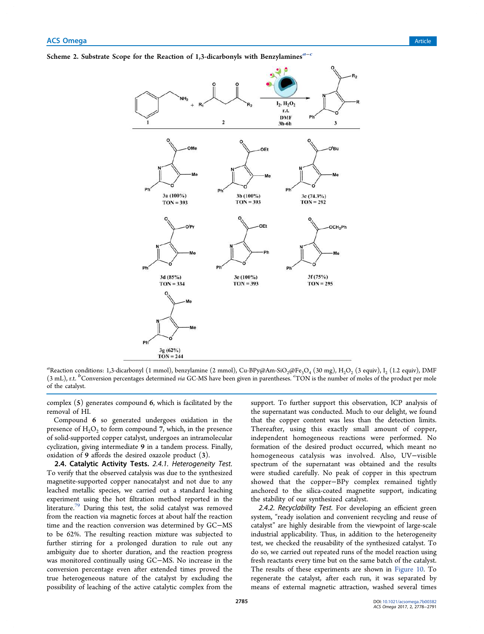Scheme 2. Substrate Scope for the Reaction of 1,3-dicarbonyls with Benzylamines $a-c$ 



a<br>Reaction conditions: 1,3-dicarbonyl (1 mmol), benzylamine (2 mmol), Cu-BPy@Am-SiO<sub>2</sub>@Fe<sub>3</sub>O<sub>4</sub> (30 mg), H<sub>2</sub>O<sub>2</sub> (3 equiv), I<sub>2</sub> (1.2 equiv), DMF (3 mL), r.t. *b* Conversion percentages determined *via* GC-MS have been given in parentheses. *<sup>c</sup>* TON is the number of moles of the product per mole of the catalyst.

complex  $(5)$  generates compound 6, which is facilitated by the removal of HI.

Compound 6 so generated undergoes oxidation in the presence of  $\text{H}_{2}\text{O}_{2}$  to form compound 7, which, in the presence of solid-supported copper catalyst, undergoes an intramolecular cyclization, giving intermediate 9 in a tandem process. Finally, oxidation of 9 affords the desired oxazole product (3).

2.4. Catalytic Activity Tests. 2.4.1. Heterogeneity Test. To verify that the observed catalysis was due to the synthesized magnetite-supported copper nanocatalyst and not due to any leached metallic species, we carried out a standard leaching experiment using the hot filtration method reported in the literature.<sup>79</sup> During this test, the solid catalyst was removed from the reaction via magnetic forces at about half the reaction time and the reaction conversion was determined by GC−MS to be 62%. The resulting reaction mixture was subjected to further stirring for a prolonged duration to rule out any ambiguity due to shorter duration, and the reaction progress was monitored continually using GC−MS. No increase in the conversion percentage even after extended times proved the true heterogeneous nature of the catalyst by excluding the possibility of leaching of the active catalytic complex from the

support. To further support this observation, ICP analysis of the supernatant was conducted. Much to our delight, we found that the copper content was less than the detection limits. Thereafter, using this exactly small amount of copper, independent homogeneous reactions were performed. No formation of the desired product occurred, which meant no homogeneous catalysis was involved. Also, UV−visible spectrum of the supernatant was obtained and the results were studied carefully. No peak of copper in this spectrum showed that the copper−BPy complex remained tightly anchored to the silica-coated magnetite support, indicating the stability of our synthesized catalyst.

2.4.2. Recyclability Test. For developing an efficient green system, "ready isolation and convenient recycling and reuse of catalyst" are highly desirable from the viewpoint of large-scale industrial applicability. Thus, in addition to the heterogeneity test, we checked the reusability of the synthesized catalyst. To do so, we carried out repeated runs of the model reaction using fresh reactants every time but on the same batch of the catalyst. The results of these experiments are shown in Figure 10. To regenerate the catalyst, after each run, it was separated by means of external magnetic attraction, washed several times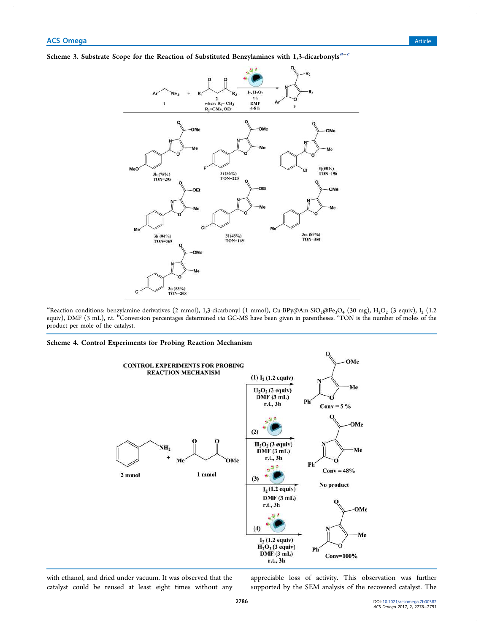#### Scheme 3. Substrate Scope for the Reaction of Substituted Benzylamines with 1,3-dicarbonyls<sup>a-c</sup>



a<br> *a*<br>
Reaction conditions: benzylamine derivatives (2 mmol), 1,3-dicarbonyl (1 mmol), Cu-BPy@Am-SiO<sub>2</sub>@Fe<sub>3</sub>O<sub>4</sub> (30 mg), H<sub>2</sub>O<sub>2</sub> (3 equiv), I<sub>2</sub> (1.2 equiv), DMF (3 mL), r.t. *b* Conversion percentages determined *via* GC-MS have been given in parentheses. *<sup>c</sup>* TON is the number of moles of the product per mole of the catalyst.





with ethanol, and dried under vacuum. It was observed that the catalyst could be reused at least eight times without any appreciable loss of activity. This observation was further supported by the SEM analysis of the recovered catalyst. The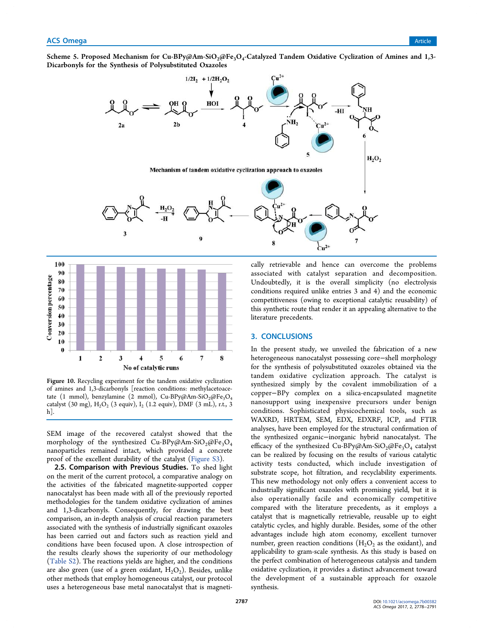Scheme 5. Proposed Mechanism for Cu-BPy@Am-SiO<sub>2</sub>@Fe<sub>3</sub>O<sub>4</sub>-Catalyzed Tandem Oxidative Cyclization of Amines and 1,3-Dicarbonyls for the Synthesis of Polysubstituted Oxazoles





Figure 10. Recycling experiment for the tandem oxidative cyclization of amines and 1,3-dicarbonyls [reaction conditions: methylacetoacetate (1 mmol), benzylamine (2 mmol), Cu-BPy@Am-SiO<sub>2</sub>@Fe<sub>3</sub>O<sub>4</sub> catalyst (30 mg),  $H_2O_2$  (3 equiv),  $I_2$  (1.2 equiv), DMF (3 mL), r.t., 3 h].

SEM image of the recovered catalyst showed that the morphology of the synthesized Cu-BPy@Am-SiO<sub>2</sub>@Fe<sub>3</sub>O<sub>4</sub> nanoparticles remained intact, which provided a concrete proof of the excellent durability of the catalyst (Figure S3).

2.5. Comparison with Previous Studies. To shed light on the merit of the current protocol, a comparative analogy on the activities of the fabricated magnetite-supported copper nanocatalyst has been made with all of the previously reported methodologies for the tandem oxidative cyclization of amines and 1,3-dicarbonyls. Consequently, for drawing the best comparison, an in-depth analysis of crucial reaction parameters associated with the synthesis of industrially significant oxazoles has been carried out and factors such as reaction yield and conditions have been focused upon. A close introspection of the results clearly shows the superiority of our methodology (Table S2). The reactions yields are higher, and the conditions are also green (use of a green oxidant,  $\rm H_2O_2$ ). Besides, unlike other methods that employ homogeneous catalyst, our protocol uses a heterogeneous base metal nanocatalyst that is magneti-

cally retrievable and hence can overcome the problems associated with catalyst separation and decomposition. Undoubtedly, it is the overall simplicity (no electrolysis conditions required unlike entries 3 and 4) and the economic competitiveness (owing to exceptional catalytic reusability) of this synthetic route that render it an appealing alternative to the literature precedents.

#### 3. CONCLUSIONS

In the present study, we unveiled the fabrication of a new heterogeneous nanocatalyst possessing core−shell morphology for the synthesis of polysubstituted oxazoles obtained via the tandem oxidative cyclization approach. The catalyst is synthesized simply by the covalent immobilization of a copper−BPy complex on a silica-encapsulated magnetite nanosupport using inexpensive precursors under benign conditions. Sophisticated physicochemical tools, such as WAXRD, HRTEM, SEM, EDX, EDXRF, ICP, and FTIR analyses, have been employed for the structural confirmation of the synthesized organic−inorganic hybrid nanocatalyst. The efficacy of the synthesized Cu-BPy@Am-SiO<sub>2</sub>@Fe<sub>3</sub>O<sub>4</sub> catalyst can be realized by focusing on the results of various catalytic activity tests conducted, which include investigation of substrate scope, hot filtration, and recyclability experiments. This new methodology not only offers a convenient access to industrially significant oxazoles with promising yield, but it is also operationally facile and economically competitive compared with the literature precedents, as it employs a catalyst that is magnetically retrievable, reusable up to eight catalytic cycles, and highly durable. Besides, some of the other advantages include high atom economy, excellent turnover number, green reaction conditions  $(H_2O_2)$  as the oxidant), and applicability to gram-scale synthesis. As this study is based on the perfect combination of heterogeneous catalysis and tandem oxidative cyclization, it provides a distinct advancement toward the development of a sustainable approach for oxazole synthesis.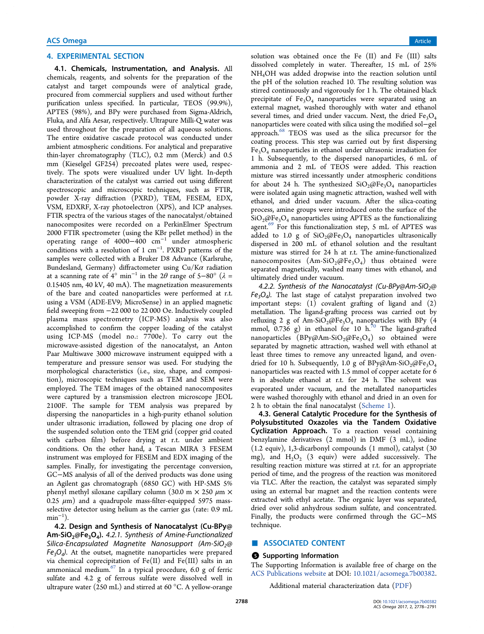#### 4. EXPERIMENTAL SECTION

4.1. Chemicals, Instrumentation, and Analysis. All chemicals, reagents, and solvents for the preparation of the catalyst and target compounds were of analytical grade, procured from commercial suppliers and used without further purification unless specified. In particular, TEOS (99.9%), APTES (98%), and BPy were purchased from Sigma-Aldrich, Fluka, and Alfa Aesar, respectively. Ultrapure Milli-Q water was used throughout for the preparation of all aqueous solutions. The entire oxidative cascade protocol was conducted under ambient atmospheric conditions. For analytical and preparative thin-layer chromatography (TLC), 0.2 mm (Merck) and 0.5 mm (Kieselgel GF254) precoated plates were used, respectively. The spots were visualized under UV light. In-depth characterization of the catalyst was carried out using different spectroscopic and microscopic techniques, such as FTIR, powder X-ray diffraction (PXRD), TEM, FESEM, EDX, VSM, EDXRF, X-ray photoelectron (XPS), and ICP analyses. FTIR spectra of the various stages of the nanocatalyst/obtained nanocomposites were recorded on a PerkinElmer Spectrum 2000 FTIR spectrometer (using the KBr pellet method) in the operating range of 4000−400 cm<sup>−</sup><sup>1</sup> under atmospheric conditions with a resolution of 1 cm<sup>−</sup><sup>1</sup> . PXRD patterns of the samples were collected with a Bruker D8 Advance (Karlsruhe, Bundesland, Germany) diffractometer using  $Cu/K\alpha$  radiation at a scanning rate of  $4^{\circ}$  min<sup>-1</sup> in the 2 $\theta$  range of 5–80° ( $\lambda$  = 0.15405 nm, 40 kV, 40 mA). The magnetization measurements of the bare and coated nanoparticles were performed at r.t. using a VSM (ADE-EV9; MicroSense) in an applied magnetic field sweeping from −22 000 to 22 000 Oe. Inductively coupled plasma mass spectrometry (ICP-MS) analysis was also accomplished to confirm the copper loading of the catalyst using ICP-MS (model no.: 7700e). To carry out the microwave-assisted digestion of the nanocatalyst, an Anton Paar Multiwave 3000 microwave instrument equipped with a temperature and pressure sensor was used. For studying the morphological characteristics (i.e., size, shape, and composition), microscopic techniques such as TEM and SEM were employed. The TEM images of the obtained nanocomposites were captured by a transmission electron microscope JEOL 2100F. The sample for TEM analysis was prepared by dispersing the nanoparticles in a high-purity ethanol solution under ultrasonic irradiation, followed by placing one drop of the suspended solution onto the TEM grid (copper grid coated with carbon film) before drying at r.t. under ambient conditions. On the other hand, a Tescan MIRA 3 FESEM instrument was employed for FESEM and EDX imaging of the samples. Finally, for investigating the percentage conversion, GC−MS analysis of all of the derived products was done using an Agilent gas chromatograph (6850 GC) with HP-5MS 5% phenyl methyl siloxane capillary column (30.0 m  $\times$  250  $\mu$ m  $\times$  $0.25 \mu m$ ) and a quadrupole mass-filter-equipped 5975 massselective detector using helium as the carrier gas (rate: 0.9 mL  $\min^{-1}$ ).

4.2. Design and Synthesis of Nanocatalyst (Cu-BPy@ **Am-SiO** $_2$ **@Fe** $_3$ **O** $_4$ **).** 4.2.1. Synthesis of Amine-Functionalized Silica-Encapsulated Magnetite Nanosupport (Am-SiO<sub>2</sub>@  $Fe_{3}O_{4}$ ). At the outset, magnetite nanoparticles were prepared via chemical coprecipitation of Fe(II) and Fe(III) salts in an ammoniacal medium.<sup>67</sup> In a typical procedure, 6.0 g of ferric sulfate and 4.2 g of ferrous sulfate were dissolved well in ultrapure water (250 mL) and stirred at 60 °C. A yellow-orange

solution was obtained once the Fe (II) and Fe (III) salts dissolved completely in water. Thereafter, 15 mL of 25% NH4OH was added dropwise into the reaction solution until the pH of the solution reached 10. The resulting solution was stirred continuously and vigorously for 1 h. The obtained black precipitate of  $Fe<sub>3</sub>O<sub>4</sub>$  nanoparticles were separated using an external magnet, washed thoroughly with water and ethanol several times, and dried under vaccum. Next, the dried  $Fe<sub>3</sub>O<sub>4</sub>$ nanoparticles were coated with silica using the modified sol−gel approach.<sup>68</sup> TEOS was used as the silica precursor for the coating process. This step was carried out by first dispersing Fe3O<sup>4</sup> nanoparticles in ethanol under ultrasonic irradiation for 1 h. Subsequently, to the dispersed nanoparticles, 6 mL of ammonia and 2 mL of TEOS were added. This reaction mixture was stirred incessantly under atmospheric conditions for about 24 h. The synthesized  $SiO<sub>2</sub>(\mathcal{O}Fe<sub>3</sub>O<sub>4</sub>)$  nanoparticles were isolated again using magnetic attraction, washed well with ethanol, and dried under vacuum. After the silica-coating process, amine groups were introduced onto the surface of the  $SiO<sub>2</sub>(\mathcal{D}Fe<sub>3</sub>O<sub>4</sub>)$  nanoparticles using APTES as the functionalizing agent.<sup>69</sup> For this functionalization step, 5 mL of APTES was added to 1.0 g of  $SiO<sub>2</sub>(\mathcal{O}Fe<sub>3</sub>O<sub>4</sub>)$  nanoparticles ultrasonically dispersed in 200 mL of ethanol solution and the resultant mixture was stirred for 24 h at r.t. The amine-functionalized nanocomposites  $(Am-SiO_2@Fe_3O_4)$  thus obtained were separated magnetically, washed many times with ethanol, and ultimately dried under vacuum.

4.2.2. Synthesis of the Nanocatalyst (Cu-BPy@Am-SiO<sub>2</sub>@  $Fe_{3}O_{4}$ ). The last stage of catalyst preparation involved two important steps: (1) covalent grafting of ligand and (2) metallation. The ligand-grafting process was carried out by refluxing 2 g of Am-SiO<sub>2</sub>@Fe<sub>3</sub>O<sub>4</sub> nanoparticles with BPy (4 mmol,  $0.736$  g) in ethanol for 10 h.<sup>70</sup> The ligand-grafted nanoparticles  $(BPy@Am-SiO_2@Fe_3O_4)$  so obtained were separated by magnetic attraction, washed well with ethanol at least three times to remove any unreacted ligand, and ovendried for 10 h. Subsequently, 1.0 g of BPy@Am-SiO<sub>2</sub>@Fe<sub>3</sub>O<sub>4</sub> nanoparticles was reacted with 1.5 mmol of copper acetate for 6 h in absolute ethanol at r.t. for 24 h. The solvent was evaporated under vacuum, and the metallated nanoparticles were washed thoroughly with ethanol and dried in an oven for 2 h to obtain the final nanocatalyst (Scheme 1).

4.3. General Catalytic Procedure for the Synthesis of Polysubstituted Oxazoles via the Tandem Oxidative Cyclization Approach. To a reaction vessel containing benzylamine derivatives (2 mmol) in DMF (3 mL), iodine (1.2 equiv), 1,3-dicarbonyl compounds (1 mmol), catalyst (30 mg), and  $H_2O_2$  (3 equiv) were added successively. The resulting reaction mixture was stirred at r.t. for an appropriate period of time, and the progress of the reaction was monitored via TLC. After the reaction, the catalyst was separated simply using an external bar magnet and the reaction contents were extracted with ethyl acetate. The organic layer was separated, dried over solid anhydrous sodium sulfate, and concentrated. Finally, the products were confirmed through the GC−MS technique.

#### ■ ASSOCIATED CONTENT

#### **6** Supporting Information

The Supporting Information is available free of charge on the ACS Publications website at DOI: 10.1021/acsomega.7b00382.

Additional material characterization data (PDF)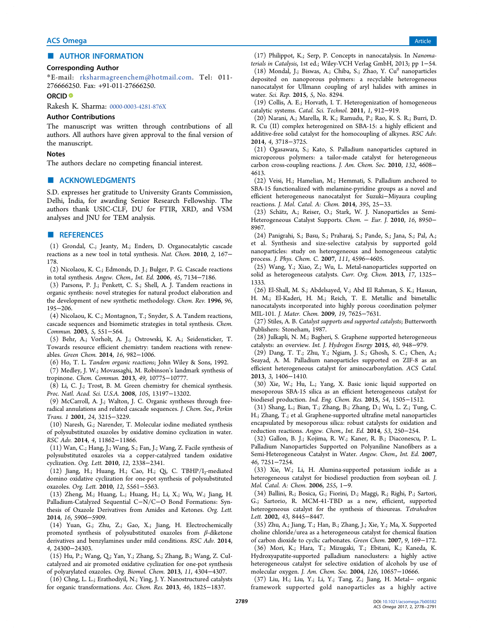## ACS Omega<br>■ AUTHOR INFORMATION

#### Corresponding Author

\*E-mail: rksharmagreenchem@hotmail.com. Tel: 011- 276666250. Fax: +91-011-27666250.

#### ORCID<sup>®</sup>

Rakesh K. Sharma: 0000-0003-4281-876X

#### Author Contributions

The manuscript was written through contributions of all authors. All authors have given approval to the final version of the manuscript.

#### Notes

The authors declare no competing financial interest.

#### ■ ACKNOWLEDGMENTS

S.D. expresses her gratitude to University Grants Commission, Delhi, India, for awarding Senior Research Fellowship. The authors thank USIC-CLF, DU for FTIR, XRD, and VSM analyses and JNU for TEM analysis.

#### ■ REFERENCES

(1) Grondal, C.; Jeanty, M.; Enders, D. Organocatalytic cascade reactions as a new tool in total synthesis. *Nat. Chem.* 2010, *2*, 167− 178.

(2) Nicolaou, K. C.; Edmonds, D. J.; Bulger, P. G. Cascade reactions in total synthesis. *Angew. Chem., Int. Ed.* 2006, *45*, 7134−7186.

(3) Parsons, P. J.; Penkett, C. S.; Shell, A. J. Tandem reactions in organic synthesis: novel strategies for natural product elaboration and the development of new synthetic methodology. *Chem. Rev.* 1996, *96*, 195−206.

(4) Nicolaou, K. C.; Montagnon, T.; Snyder, S. A. Tandem reactions, cascade sequences and biomimetic strategies in total synthesis. *Chem. Commun.* 2003, *5*, 551−564.

(5) Behr, A.; Vorholt, A. J.; Ostrowski, K. A.; Seidensticker, T. Towards resource efficient chemistry: tandem reactions with renewables. *Green Chem.* 2014, *16*, 982−1006.

(6) Ho, T. L. *Tandem organic reactions*; John Wiley & Sons, 1992.

(7) Medley, J. W.; Movassaghi, M. Robinson's landmark synthesis of tropinone. *Chem. Commun.* 2013, *49*, 10775−10777.

(8) Li, C. J.; Trost, B. M. Green chemistry for chemical synthesis. *Proc. Natl. Acad. Sci. U.S.A.* 2008, *105*, 13197−13202.

(9) McCarroll, A. J.; Walton, J. C. Organic syntheses through freeradical annulations and related cascade sequences. *J. Chem. Soc., Perkin Trans. 1* 2001, *24*, 3215−3229.

(10) Naresh, G.; Narender, T. Molecular iodine mediated synthesis of polysubstituted oxazoles by oxidative domino cyclization in water. *RSC Adv.* 2014, *4*, 11862−11866.

(11) Wan, C.; Hang, J.; Wang, S.; Fan, J.; Wang, Z. Facile synthesis of polysubstituted oxazoles via a copper-catalyzed tandem oxidative cyclization. *Org. Lett.* 2010, *12*, 2338−2341.

 $(12)$  Jiang, H.; Huang, H.; Cao, H.; Qi, C. TBHP/I<sub>2</sub>-mediated domino oxidative cyclization for one-pot synthesis of polysubstituted oxazoles. *Org. Lett.* 2010, *12*, 5561−5563.

(13) Zheng, M.; Huang, L.; Huang, H.; Li, X.; Wu, W.; Jiang, H. Palladium-Catalyzed Sequential C−N/C−O Bond Formations: Synthesis of Oxazole Derivatives from Amides and Ketones. *Org. Lett.* 2014, *16*, 5906−5909.

(14) Yuan, G.; Zhu, Z.; Gao, X.; Jiang, H. Electrochemically promoted synthesis of polysubstituted oxazoles from  $\beta$ -diketone derivatives and benzylamines under mild conditions. *RSC Adv.* 2014, *4*, 24300−24303.

(15) Hu, P.; Wang, Q.; Yan, Y.; Zhang, S.; Zhang, B.; Wang, Z. CuIcatalyzed and air promoted oxidative cyclization for one-pot synthesis of polyarylated oxazoles. *Org. Biomol. Chem.* 2013, *11*, 4304−4307.

(16) Chng, L. L.; Erathodiyil, N.; Ying, J. Y. Nanostructured catalysts for organic transformations. *Acc. Chem. Res.* 2013, *46*, 1825−1837.

(17) Philippot, K.; Serp, P. Concepts in nanocatalysis. In *Nanomaterials in Catalysis*, 1st ed.; Wiley-VCH Verlag GmbH, 2013; pp 1−54. (18) Mondal, J.; Biswas, A.; Chiba, S.; Zhao, Y. Cu<sup>0</sup> nanoparticles

deposited on nanoporous polymers: a recyclable heterogeneous nanocatalyst for Ullmann coupling of aryl halides with amines in water. *Sci. Rep.* 2015, *5*, No. 8294.

(19) Collis, A. E.; Horvath, I. T. Heterogenization of homogeneous catalytic systems. *Catal. Sci. Technol.* 2011, *1*, 912−919.

(20) Narani, A.; Marella, R. K.; Ramudu, P.; Rao, K. S. R.; Burri, D. R. Cu (II) complex heterogenized on SBA-15: a highly efficient and additive-free solid catalyst for the homocoupling of alkynes. *RSC Adv.* 2014, *4*, 3718−3725.

(21) Ogasawara, S.; Kato, S. Palladium nanoparticles captured in microporous polymers: a tailor-made catalyst for heterogeneous carbon cross-coupling reactions. *J. Am. Chem. Soc.* 2010, *132*, 4608− 4613.

(22) Veisi, H.; Hamelian, M.; Hemmati, S. Palladium anchored to SBA-15 functionalized with melamine-pyridine groups as a novel and efficient heterogeneous nanocatalyst for Suzuki−Miyaura coupling reactions. *J. Mol. Catal. A: Chem.* 2014, *395*, 25−33.

(23) Schatz, A.; Reiser, O.; Stark, W. J. Nanoparticles as Semi- ̈ Heterogeneous Catalyst Supports. *Chem.* − *Eur. J.* 2010, *16*, 8950− 8967.

(24) Panigrahi, S.; Basu, S.; Praharaj, S.; Pande, S.; Jana, S.; Pal, A.; et al. Synthesis and size-selective catalysis by supported gold nanoparticles: study on heterogeneous and homogeneous catalytic process. *J. Phys. Chem. C.* 2007, *111*, 4596−4605.

(25) Wang, Y.; Xiao, Z.; Wu, L. Metal-nanoparticles supported on solid as heterogeneous catalysts. *Curr. Org. Chem.* 2013, *17*, 1325− 1333.

(26) El-Shall, M. S.; Abdelsayed, V.; Abd El Rahman, S. K.; Hassan, H. M.; El-Kaderi, H. M.; Reich, T. E. Metallic and bimetallic nanocatalysts incorporated into highly porous coordination polymer MIL-101. *J. Mater. Chem.* 2009, *19*, 7625−7631.

(27) Stiles, A. B. *Catalyst supports and supported catalysts*; Butterworth Publishers: Stoneham, 1987.

(28) Julkapli, N. M.; Bagheri, S. Graphene supported heterogeneous catalysts: an overview. *Int. J. Hydrogen Energy* 2015, *40*, 948−979.

(29) Dang, T. T.; Zhu, Y.; Ngiam, J. S.; Ghosh, S. C.; Chen, A.; Seayad, A. M. Palladium nanoparticles supported on ZIF-8 as an efficient heterogeneous catalyst for aminocarbonylation. *ACS Catal.* 2013, *3*, 1406−1410.

(30) Xie, W.; Hu, L.; Yang, X. Basic ionic liquid supported on mesoporous SBA-15 silica as an efficient heterogeneous catalyst for biodiesel production. *Ind. Eng. Chem. Res.* 2015, *54*, 1505−1512.

(31) Shang, L.; Bian, T.; Zhang, B.; Zhang, D.; Wu, L. Z.; Tung, C. H.; Zhang, T.; et al. Graphene-supported ultrafine metal nanoparticles encapsulated by mesoporous silica: robust catalysts for oxidation and reduction reactions. *Angew. Chem., Int. Ed.* 2014, *53*, 250−254.

(32) Gallon, B. J.; Kojima, R. W.; Kaner, R. B.; Diaconescu, P. L. Palladium Nanoparticles Supported on Polyaniline Nanofibers as a Semi-Heterogeneous Catalyst in Water. *Angew. Chem., Int. Ed.* 2007, *46*, 7251−7254.

(33) Xie, W.; Li, H. Alumina-supported potassium iodide as a heterogeneous catalyst for biodiesel production from soybean oil. *J. Mol. Catal. A: Chem.* 2006, *255*, 1−9.

(34) Ballini, R.; Bosica, G.; Fiorini, D.; Maggi, R.; Righi, P.; Sartori, G.; Sartorio, R. MCM-41-TBD as a new, efficient, supported heterogeneous catalyst for the synthesis of thioureas. *Tetrahedron Lett.* 2002, *43*, 8445−8447.

(35) Zhu, A.; Jiang, T.; Han, B.; Zhang, J.; Xie, Y.; Ma, X. Supported choline chloride/urea as a heterogeneous catalyst for chemical fixation of carbon dioxide to cyclic carbonates. *Green Chem.* 2007, *9*, 169−172.

(36) Mori, K.; Hara, T.; Mizugaki, T.; Ebitani, K.; Kaneda, K. Hydroxyapatite-supported palladium nanoclusters: a highly active heterogeneous catalyst for selective oxidation of alcohols by use of molecular oxygen. *J. Am. Chem. Soc.* 2004, *126*, 10657−10666.

(37) Liu, H.; Liu, Y.; Li, Y.; Tang, Z.; Jiang, H. Metal− organic framework supported gold nanoparticles as a highly active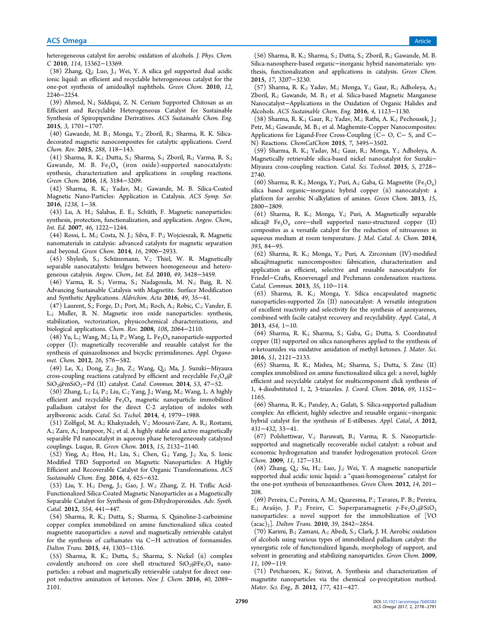heterogeneous catalyst for aerobic oxidation of alcohols. *J. Phys. Chem. C* 2010, *114*, 13362−13369.

(38) Zhang, Q.; Luo, J.; Wei, Y. A silica gel supported dual acidic ionic liquid: an efficient and recyclable heterogeneous catalyst for the one-pot synthesis of amidoalkyl naphthols. *Green Chem.* 2010, *12*, 2246−2254.

(39) Ahmed, N.; Siddiqui, Z. N. Cerium Supported Chitosan as an Efficient and Recyclable Heterogeneous Catalyst for Sustainable Synthesis of Spiropiperidine Derivatives. *ACS Sustainable Chem. Eng.* 2015, *3*, 1701−1707.

(40) Gawande, M. B.; Monga, Y.; Zboril, R.; Sharma, R. K. Silicadecorated magnetic nanocomposites for catalytic applications. *Coord. Chem. Rev.* 2015, *288*, 118−143.

(41) Sharma, R. K.; Dutta, S.; Sharma, S.; Zboril, R.; Varma, R. S.; Gawande, M. B.  $Fe<sub>3</sub>O<sub>4</sub>$  (iron oxide)-supported nanocatalysts: synthesis, characterization and applications in coupling reactions. *Green Chem.* 2016, *18*, 3184−3209.

(42) Sharma, R. K.; Yadav, M.; Gawande, M. B. Silica-Coated Magnetic Nano-Particles: Application in Catalysis. *ACS Symp. Ser.* 2016, *1238*, 1−38.

(43) Lu, A. H.; Salabas, E. E.; Schüth, F. Magnetic nanoparticles: synthesis, protection, functionalization, and application. *Angew. Chem., Int. Ed.* 2007, *46*, 1222−1244.

(44) Rossi, L. M.; Costa, N. J.; Silva, F. P.; Wojcieszak, R. Magnetic nanomaterials in catalysis: advanced catalysts for magnetic separation and beyond. *Green Chem.* 2014, *16*, 2906−2933.

(45) Shylesh, S.; Schünemann, V.; Thiel, W. R. Magnetically separable nanocatalysts: bridges between homogeneous and heterogeneous catalysis. *Angew. Chem., Int. Ed.* 2010, *49*, 3428−3459.

(46) Varma, R. S.; Verma, S.; Nadagouda, M. N.; Baig, R. N. Advancing Sustainable Catalysis with Magnetite. Surface Modification and Synthetic Applications. *Aldrichim. Acta* 2016, *49*, 35−41.

(47) Laurent, S.; Forge, D.; Port, M.; Roch, A.; Robic, C.; Vander, E. L.; Muller, R. N. Magnetic iron oxide nanoparticles: synthesis, stabilization, vectorization, physicochemical characterizations, and biological applications. *Chem. Rev.* 2008, *108*, 2064−2110.

(48) Yu, L.; Wang, M.; Li, P.; Wang, L. Fe<sub>3</sub>O<sub>4</sub> nanoparticle-supported copper (I): magnetically recoverable and reusable catalyst for the synthesis of quinazolinones and bicyclic pyrimidinones. *Appl. Organomet. Chem.* 2012, *26*, 576−582.

(49) Le, X.; Dong, Z.; Jin, Z.; Wang, Q.; Ma, J. Suzuki−Miyaura cross-coupling reactions catalyzed by efficient and recyclable  $Fe<sub>3</sub>O<sub>4</sub>(a)$ SiO2@mSiO2−Pd (II) catalyst. *Catal. Commun.* 2014, *53*, 47−52.

(50) Zhang, L.; Li, P.; Liu, C.; Yang, J.; Wang, M.; Wang, L. A highly efficient and recyclable  $Fe<sub>3</sub>O<sub>4</sub>$  magnetic nanoparticle immobilized palladium catalyst for the direct C-2 arylation of indoles with arylboronic acids. *Catal. Sci. Techol.* 2014, *4*, 1979−1988.

(51) Zolfigol, M. A.; Khakyzadeh, V.; Moosavi-Zare, A. R.; Rostami, A.; Zare, A.; Iranpoor, N.; et al. A highly stable and active magnetically separable Pd nanocatalyst in aqueous phase heterogeneously catalyzed couplings. Luque, R. *Green Chem.* 2013, *15*, 2132−2140.

(52) Ying, A.; Hou, H.; Liu, S.; Chen, G.; Yang, J.; Xu, S. Ionic Modified TBD Supported on Magnetic Nanoparticles: A Highly Efficient and Recoverable Catalyst for Organic Transformations. *ACS Sustainable Chem. Eng.* 2016, *4*, 625−632.

(53) Liu, Y. H.; Deng, J.; Gao, J. W.; Zhang, Z. H. Triflic Acid-Functionalized Silica-Coated Magnetic Nanoparticles as a Magnetically Separable Catalyst for Synthesis of gem-Dihydroperoxides. *Adv. Synth. Catal.* 2012, *354*, 441−447.

(54) Sharma, R. K.; Dutta, S.; Sharma, S. Quinoline-2-carboimine copper complex immobilized on amine functionalized silica coated magnetite nanoparticles: a novel and magnetically retrievable catalyst for the synthesis of carbamates via C−H activation of formamides. *Dalton Trans.* 2015, *44*, 1303−1316.

(55) Sharma, R. K.; Dutta, S.; Sharma, S. Nickel (ii) complex covalently anchored on core shell structured  $SiO_2@Fe_3O_4$  nanoparticles: a robust and magnetically retrievable catalyst for direct onepot reductive amination of ketones. *New J. Chem.* 2016, *40*, 2089− 2101.

(56) Sharma, R. K.; Sharma, S.; Dutta, S.; Zboril, R.; Gawande, M. B. Silica-nanosphere-based organic−inorganic hybrid nanomaterials: synthesis, functionalization and applications in catalysis. *Green Chem.* 2015, *17*, 3207−3230.

(57) Sharma, R. K.; Yadav, M.; Monga, Y.; Gaur, R.; Adholeya, A.; Zboril, R.; Gawande, M. B.; et al. Silica-based Magnetic Manganese Nanocatalyst−Applications in the Oxidation of Organic Halides and Alcohols. *ACS Sustainable Chem. Eng.* 2016, *4*, 1123−1130.

(58) Sharma, R. K.; Gaur, R.; Yadav, M.; Rathi, A. K.; Pechousek, J.; Petr, M.; Gawande, M. B.; et al. Maghemite-Copper Nanocomposites: Applications for Ligand-Free Cross-Coupling (C− O, C− S, and C− N) Reactions. *ChemCatChem* 2015, *7*, 3495−3502.

(59) Sharma, R. K.; Yadav, M.; Gaur, R.; Monga, Y.; Adholeya, A. Magnetically retrievable silica-based nickel nanocatalyst for Suzuki− Miyaura cross-coupling reaction. *Catal. Sci. Technol.* 2015, *5*, 2728− 2740.

 $(60)$  Sharma, R. K.; Monga, Y.; Puri, A.; Gaba, G. Magnetite  $(Fe<sub>3</sub>O<sub>4</sub>)$ silica based organic−inorganic hybrid copper (ii) nanocatalyst: a platform for aerobic N-alkylation of amines. *Green Chem.* 2013, *15*, 2800−2809.

(61) Sharma, R. K.; Monga, Y.; Puri, A. Magnetically separable silica@ Fe<sub>3</sub>O<sub>4</sub> core−shell supported nano-structured copper (II) composites as a versatile catalyst for the reduction of nitroarenes in aqueous medium at room temperature. *J. Mol. Catal. A: Chem.* 2014, *393*, 84−95.

(62) Sharma, R. K.; Monga, Y.; Puri, A. Zirconium (IV)-modified silica@magnetic nanocomposites: fabrication, characterization and application as efficient, selective and reusable nanocatalysts for Friedel−Crafts, Knoevenagel and Pechmann condensation reactions. *Catal. Commun.* 2013, *35*, 110−114.

(63) Sharma, R. K.; Monga, Y. Silica encapsulated magnetic nanoparticles-supported Zn (II) nanocatalyst: A versatile integration of excellent reactivity and selectivity for the synthesis of azoxyarenes, combined with facile catalyst recovery and recyclability. *Appl. Catal., A* 2013, *454*, 1−10.

(64) Sharma, R. K.; Sharma, S.; Gaba, G.; Dutta, S. Coordinated copper (II) supported on silica nanospheres applied to the synthesis of α-ketoamides via oxidative amidation of methyl ketones. *J. Mater. Sci.* 2016, *51*, 2121−2133.

(65) Sharma, R. K.; Mishra, M.; Sharma, S.; Dutta, S. Zinc (II) complex immobilized on amine functionalized silica gel: a novel, highly efficient and recyclable catalyst for multicomponent click synthesis of 1, 4-disubstituted 1, 2, 3-triazoles. *J. Coord. Chem.* 2016, *69*, 1152− 1165.

(66) Sharma, R. K.; Pandey, A.; Gulati, S. Silica-supported palladium complex: An efficient, highly selective and reusable organic−inorganic hybrid catalyst for the synthesis of E-stilbenes. *Appl. Catal., A* 2012, *431*−*432*, 33−41.

(67) Polshettiwar, V.; Baruwati, B.; Varma, R. S. Nanoparticlesupported and magnetically recoverable nickel catalyst: a robust and economic hydrogenation and transfer hydrogenation protocol. *Green Chem.* 2009, *11*, 127−131.

(68) Zhang, Q.; Su, H.; Luo, J.; Wei, Y. A magnetic nanoparticle supported dual acidic ionic liquid: a "quasi-homogeneous" catalyst for the one-pot synthesis of benzoxanthenes. *Green Chem.* 2012, *14*, 201− 208.

(69) Pereira, C.; Pereira, A. M.; Quaresma, P.; Tavares, P. B.; Pereira, E.; Araújo, J. P.; Freire, C. Superparamagnetic  $γ$ -Fe<sub>2</sub>O<sub>3</sub>@SiO<sub>2</sub> nanoparticles: a novel support for the immobilization of [VO (acac)<sup>2</sup> ]. *Dalton Trans.* 2010, *39*, 2842−2854.

(70) Karimi, B.; Zamani, A.; Abedi, S.; Clark, J. H. Aerobic oxidation of alcohols using various types of immobilized palladium catalyst: the synergistic role of functionalized ligands, morphology of support, and solvent in generating and stabilizing nanoparticles. *Green Chem.* 2009, *11*, 109−119.

(71) Petcharoen, K.; Sirivat, A. Synthesis and characterization of magnetite nanoparticles via the chemical co-precipitation method. *Mater. Sci. Eng., B.* 2012, *177*, 421−427.